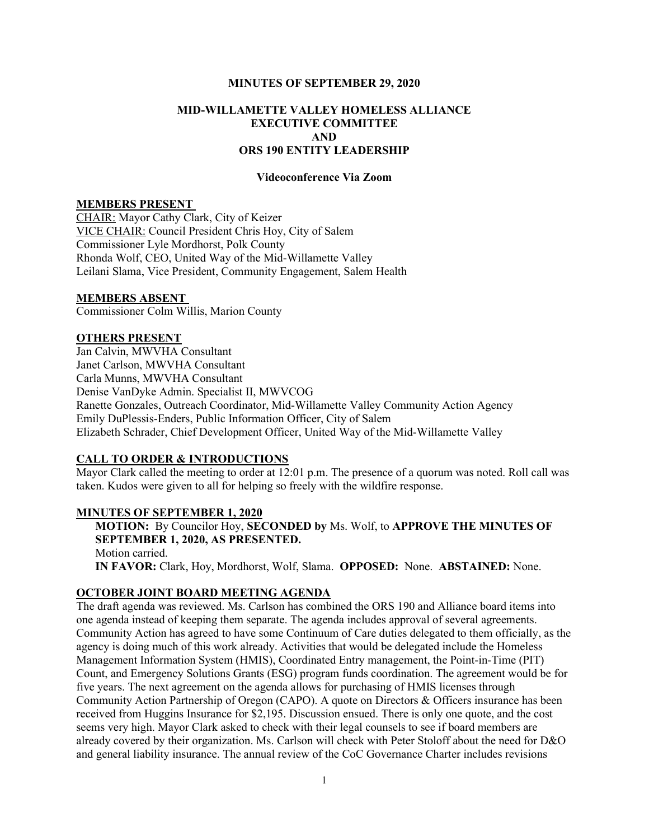### MINUTES OF SEPTEMBER 29, 2020

# MID-WILLAMETTE VALLEY HOMELESS ALLIANCE EXECUTIVE COMMITTEE AND ORS 190 ENTITY LEADERSHIP

### Videoconference Via Zoom

### MEMBERS PRESENT

CHAIR: Mayor Cathy Clark, City of Keizer VICE CHAIR: Council President Chris Hoy, City of Salem Commissioner Lyle Mordhorst, Polk County Rhonda Wolf, CEO, United Way of the Mid-Willamette Valley Leilani Slama, Vice President, Community Engagement, Salem Health

## MEMBERS ABSENT

Commissioner Colm Willis, Marion County

## OTHERS PRESENT

Jan Calvin, MWVHA Consultant Janet Carlson, MWVHA Consultant Carla Munns, MWVHA Consultant Denise VanDyke Admin. Specialist II, MWVCOG Ranette Gonzales, Outreach Coordinator, Mid-Willamette Valley Community Action Agency Emily DuPlessis-Enders, Public Information Officer, City of Salem Elizabeth Schrader, Chief Development Officer, United Way of the Mid-Willamette Valley

## CALL TO ORDER & INTRODUCTIONS

Mayor Clark called the meeting to order at 12:01 p.m. The presence of a quorum was noted. Roll call was taken. Kudos were given to all for helping so freely with the wildfire response.

### MINUTES OF SEPTEMBER 1, 2020

MOTION: By Councilor Hoy, SECONDED by Ms. Wolf, to APPROVE THE MINUTES OF SEPTEMBER 1, 2020, AS PRESENTED. Motion carried. IN FAVOR: Clark, Hoy, Mordhorst, Wolf, Slama. OPPOSED: None. ABSTAINED: None.

## OCTOBER JOINT BOARD MEETING AGENDA

The draft agenda was reviewed. Ms. Carlson has combined the ORS 190 and Alliance board items into one agenda instead of keeping them separate. The agenda includes approval of several agreements. Community Action has agreed to have some Continuum of Care duties delegated to them officially, as the agency is doing much of this work already. Activities that would be delegated include the Homeless Management Information System (HMIS), Coordinated Entry management, the Point-in-Time (PIT) Count, and Emergency Solutions Grants (ESG) program funds coordination. The agreement would be for five years. The next agreement on the agenda allows for purchasing of HMIS licenses through Community Action Partnership of Oregon (CAPO). A quote on Directors & Officers insurance has been received from Huggins Insurance for \$2,195. Discussion ensued. There is only one quote, and the cost seems very high. Mayor Clark asked to check with their legal counsels to see if board members are already covered by their organization. Ms. Carlson will check with Peter Stoloff about the need for D&O and general liability insurance. The annual review of the CoC Governance Charter includes revisions